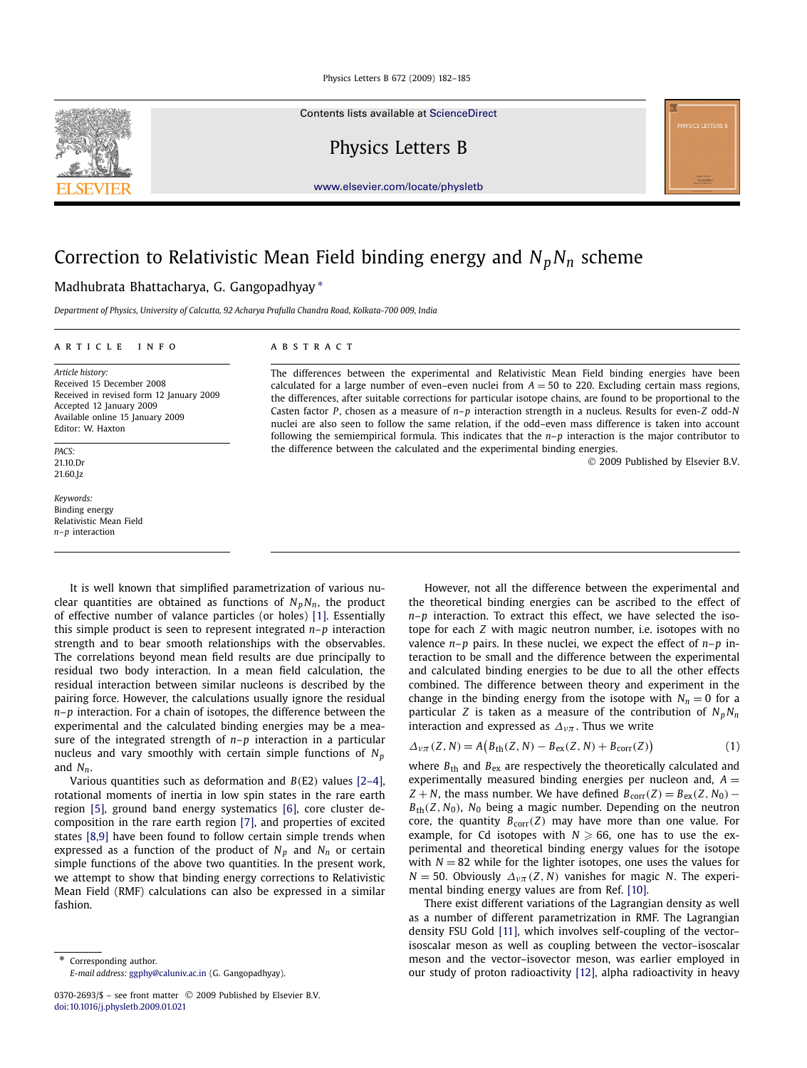Contents lists available at [ScienceDirect](http://www.ScienceDirect.com/)

Physics Letters B



[www.elsevier.com/locate/physletb](http://www.elsevier.com/locate/physletb)

# Correction to Relativistic Mean Field binding energy and  $N_pN_n$  scheme

# Madhubrata Bhattacharya, G. Gangopadhyay ∗

*Department of Physics, University of Calcutta, 92 Acharya Prafulla Chandra Road, Kolkata-700 009, India*

# article info abstract

*Article history:* Received 15 December 2008 Received in revised form 12 January 2009 Accepted 12 January 2009 Available online 15 January 2009 Editor: W. Haxton

*PACS:* 21.10.Dr 21.60.Jz

*Keywords:* Binding energy Relativistic Mean Field *n*–*p* interaction

The differences between the experimental and Relativistic Mean Field binding energies have been calculated for a large number of even–even nuclei from  $A = 50$  to 220. Excluding certain mass regions, the differences, after suitable corrections for particular isotope chains, are found to be proportional to the Casten factor *P*, chosen as a measure of *n*–*p* interaction strength in a nucleus. Results for even-*Z* odd-*N* nuclei are also seen to follow the same relation, if the odd–even mass difference is taken into account following the semiempirical formula. This indicates that the *n*–*p* interaction is the major contributor to the difference between the calculated and the experimental binding energies.

© 2009 Published by Elsevier B.V.

It is well known that simplified parametrization of various nuclear quantities are obtained as functions of  $N_p N_n$ , the product of effective number of valance particles (or holes) [\[1\].](#page-3-0) Essentially this simple product is seen to represent integrated *n*–*p* interaction strength and to bear smooth relationships with the observables. The correlations beyond mean field results are due principally to residual two body interaction. In a mean field calculation, the residual interaction between similar nucleons is described by the pairing force. However, the calculations usually ignore the residual *n*–*p* interaction. For a chain of isotopes, the difference between the experimental and the calculated binding energies may be a measure of the integrated strength of *n*–*p* interaction in a particular nucleus and vary smoothly with certain simple functions of *Np* and  $N_n$ .

Various quantities such as deformation and *B(*E2*)* values [\[2–4\],](#page-3-0) rotational moments of inertia in low spin states in the rare earth region [\[5\],](#page-3-0) ground band energy systematics [\[6\],](#page-3-0) core cluster decomposition in the rare earth region [\[7\],](#page-3-0) and properties of excited states [\[8,9\]](#page-3-0) have been found to follow certain simple trends when expressed as a function of the product of  $N_p$  and  $N_n$  or certain simple functions of the above two quantities. In the present work, we attempt to show that binding energy corrections to Relativistic Mean Field (RMF) calculations can also be expressed in a similar fashion.

Corresponding author.

However, not all the difference between the experimental and the theoretical binding energies can be ascribed to the effect of *n*–*p* interaction. To extract this effect, we have selected the isotope for each *Z* with magic neutron number, i.e. isotopes with no valence *n*–*p* pairs. In these nuclei, we expect the effect of *n*–*p* interaction to be small and the difference between the experimental and calculated binding energies to be due to all the other effects combined. The difference between theory and experiment in the change in the binding energy from the isotope with  $N_n = 0$  for a particular *Z* is taken as a measure of the contribution of  $N_pN_n$ interaction and expressed as  $\Delta_{\nu\pi}$ . Thus we write

$$
\Delta_{\nu\pi}(Z, N) = A\big(B_{\text{th}}(Z, N) - B_{\text{ex}}(Z, N) + B_{\text{corr}}(Z)\big) \tag{1}
$$

where  $B_{\text{th}}$  and  $B_{\text{ex}}$  are respectively the theoretically calculated and experimentally measured binding energies per nucleon and,  $A =$  $Z + N$ , the mass number. We have defined  $B_{\text{corr}}(Z) = B_{\text{ex}}(Z, N_0) B_{\text{th}}(Z, N_0)$ ,  $N_0$  being a magic number. Depending on the neutron core, the quantity  $B_{\text{corr}}(Z)$  may have more than one value. For example, for Cd isotopes with  $N \geqslant 66$ , one has to use the experimental and theoretical binding energy values for the isotope with  $N = 82$  while for the lighter isotopes, one uses the values for  $N = 50$ . Obviously  $\Delta_{\nu\pi}(Z, N)$  vanishes for magic *N*. The experimental binding energy values are from Ref. [\[10\].](#page-3-0)

There exist different variations of the Lagrangian density as well as a number of different parametrization in RMF. The Lagrangian density FSU Gold [\[11\],](#page-3-0) which involves self-coupling of the vector– isoscalar meson as well as coupling between the vector–isoscalar meson and the vector–isovector meson, was earlier employed in our study of proton radioactivity [\[12\],](#page-3-0) alpha radioactivity in heavy

*E-mail address:* [ggphy@caluniv.ac.in](mailto:ggphy@caluniv.ac.in) (G. Gangopadhyay).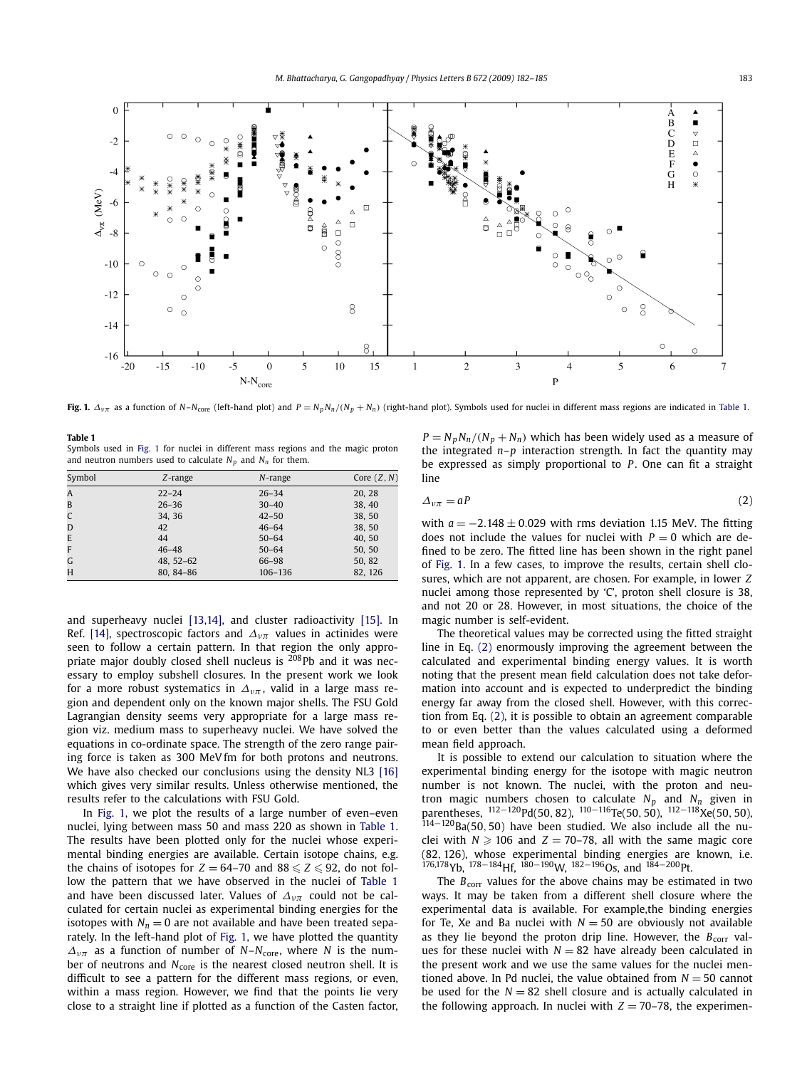<span id="page-1-0"></span>

Fig. 1.  $\Delta_{v\pi}$  as a function of N-N<sub>core</sub> (left-hand plot) and  $P = N_p N_n / (N_p + N_n)$  (right-hand plot). Symbols used for nuclei in different mass regions are indicated in Table 1.

| Table 1                                                                          |
|----------------------------------------------------------------------------------|
| Symbols used in Fig. 1 for nuclei in different mass regions and the magic proton |
| and neutron numbers used to calculate $N_n$ and $N_n$ for them.                  |

| Symbol         | $Z$ -range    | $N$ -range | Core $(Z, N)$ |
|----------------|---------------|------------|---------------|
| $\overline{A}$ | $22 - 24$     | $26 - 34$  | 20, 28        |
| B              | $26 - 36$     | $30 - 40$  | 38, 40        |
| C              | 34.36         | $42 - 50$  | 38, 50        |
| D              | 42            | $46 - 64$  | 38, 50        |
| E              | 44            | $50 - 64$  | 40, 50        |
| F              | $46 - 48$     | $50 - 64$  | 50, 50        |
| G              | $48, 52 - 62$ | 66-98      | 50, 82        |
| H              | 80.84-86      | 106-136    | 82, 126       |

and superheavy nuclei [\[13,14\],](#page-3-0) and cluster radioactivity [\[15\].](#page-3-0) In Ref. [\[14\],](#page-3-0) spectroscopic factors and  $\Delta_{\nu\pi}$  values in actinides were seen to follow a certain pattern. In that region the only appropriate major doubly closed shell nucleus is  $^{208}$ Pb and it was necessary to employ subshell closures. In the present work we look for a more robust systematics in  $\Delta_{\nu\pi}$ , valid in a large mass region and dependent only on the known major shells. The FSU Gold Lagrangian density seems very appropriate for a large mass region viz. medium mass to superheavy nuclei. We have solved the equations in co-ordinate space. The strength of the zero range pairing force is taken as 300 MeV fm for both protons and neutrons. We have also checked our conclusions using the density NL3 [\[16\]](#page-3-0) which gives very similar results. Unless otherwise mentioned, the results refer to the calculations with FSU Gold.

In Fig. 1, we plot the results of a large number of even–even nuclei, lying between mass 50 and mass 220 as shown in Table 1. The results have been plotted only for the nuclei whose experimental binding energies are available. Certain isotope chains, e.g. the chains of isotopes for  $Z = 64-70$  and  $88 \le Z \le 92$ , do not follow the pattern that we have observed in the nuclei of Table 1 and have been discussed later. Values of *Δνπ* could not be calculated for certain nuclei as experimental binding energies for the isotopes with  $N_n = 0$  are not available and have been treated separately. In the left-hand plot of Fig. 1, we have plotted the quantity  $\Delta_{v\pi}$  as a function of number of *N*–*N*<sub>core</sub>, where *N* is the number of neutrons and *N*<sub>core</sub> is the nearest closed neutron shell. It is difficult to see a pattern for the different mass regions, or even, within a mass region. However, we find that the points lie very close to a straight line if plotted as a function of the Casten factor,  $P = N_p N_n / (N_p + N_n)$  which has been widely used as a measure of the integrated *n*–*p* interaction strength. In fact the quantity may be expressed as simply proportional to *P*. One can fit a straight line

$$
\Delta_{\nu\pi} = aP \tag{2}
$$

with *a* = −2*.*148 ± 0*.*029 with rms deviation 1.15 MeV. The fitting does not include the values for nuclei with  $P = 0$  which are defined to be zero. The fitted line has been shown in the right panel of Fig. 1. In a few cases, to improve the results, certain shell closures, which are not apparent, are chosen. For example, in lower *Z* nuclei among those represented by 'C', proton shell closure is 38, and not 20 or 28. However, in most situations, the choice of the magic number is self-evident.

The theoretical values may be corrected using the fitted straight line in Eq. (2) enormously improving the agreement between the calculated and experimental binding energy values. It is worth noting that the present mean field calculation does not take deformation into account and is expected to underpredict the binding energy far away from the closed shell. However, with this correction from Eq. (2), it is possible to obtain an agreement comparable to or even better than the values calculated using a deformed mean field approach.

It is possible to extend our calculation to situation where the experimental binding energy for the isotope with magic neutron number is not known. The nuclei, with the proton and neutron magic numbers chosen to calculate  $N_p$  and  $N_n$  given in parentheses,  $^{112-120}$ Pd(50, 82),  $^{110-116}$ Te(50, 50),  $^{112-118}$ Xe(50, 50), <sup>114</sup>−120Ba(50*,* 50) have been studied. We also include all the nuclei with  $N \geqslant 106$  and  $Z = 70-78$ , all with the same magic core (82*,* 126), whose experimental binding energies are known, i.e.  $176,178$  Yb,  $178-184$  Hf,  $180-190$  W,  $182-196$  Os, and  $184-200$  Pt.

The  $B_{\text{corr}}$  values for the above chains may be estimated in two ways. It may be taken from a different shell closure where the experimental data is available. For example,the binding energies for Te, Xe and Ba nuclei with  $N = 50$  are obviously not available as they lie beyond the proton drip line. However, the  $B_{\text{corr}}$  values for these nuclei with  $N = 82$  have already been calculated in the present work and we use the same values for the nuclei mentioned above. In Pd nuclei, the value obtained from  $N = 50$  cannot be used for the  $N = 82$  shell closure and is actually calculated in the following approach. In nuclei with  $Z = 70-78$ , the experimen-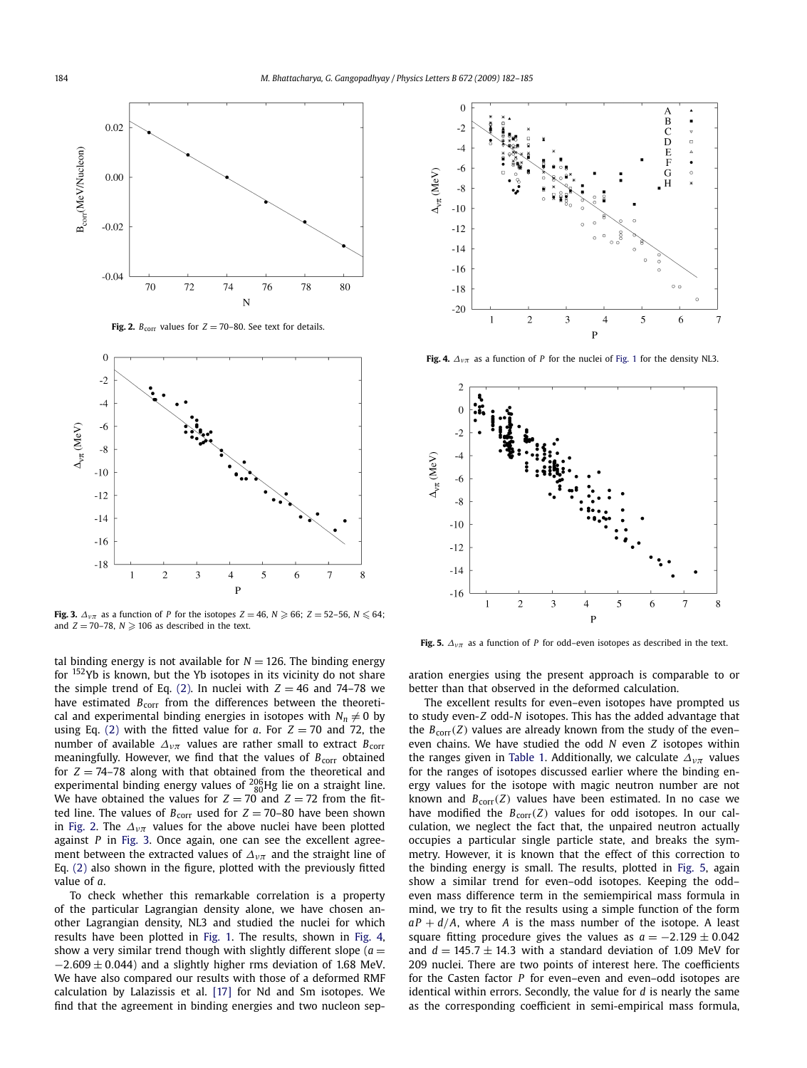

**Fig. 2.**  $B_{\text{corr}}$  values for  $Z = 70-80$ . See text for details.



**Fig. 3.**  $\Delta_{\nu\pi}$  as a function of *P* for the isotopes  $Z = 46$ ,  $N \geqslant 66$ ;  $Z = 52-56$ ,  $N \leqslant 64$ ; and  $Z = 70-78$ ,  $N \geqslant 106$  as described in the text.

tal binding energy is not available for  $N = 126$ . The binding energy for 152Yb is known, but the Yb isotopes in its vicinity do not share the simple trend of Eq. [\(2\).](#page-1-0) In nuclei with  $Z = 46$  and 74–78 we have estimated *B*<sub>corr</sub> from the differences between the theoretical and experimental binding energies in isotopes with  $N_n \neq 0$  by using Eq. [\(2\)](#page-1-0) with the fitted value for  $a$ . For  $Z = 70$  and 72, the number of available  $\Delta_{\nu\pi}$  values are rather small to extract  $B_{\text{corr}}$ meaningfully. However, we find that the values of  $B_{\text{corr}}$  obtained for  $Z = 74-78$  along with that obtained from the theoretical and experimental binding energy values of  $^{206}_{80}$ Hg lie on a straight line. We have obtained the values for  $Z = 70$  and  $Z = 72$  from the fitted line. The values of  $B_{\text{corr}}$  used for  $Z = 70-80$  have been shown in Fig. 2. The  $\Delta_{\nu\pi}$  values for the above nuclei have been plotted against *P* in Fig. 3. Once again, one can see the excellent agreement between the extracted values of *Δνπ* and the straight line of Eq. [\(2\)](#page-1-0) also shown in the figure, plotted with the previously fitted value of *a*.

To check whether this remarkable correlation is a property of the particular Lagrangian density alone, we have chosen another Lagrangian density, NL3 and studied the nuclei for which results have been plotted in [Fig. 1.](#page-1-0) The results, shown in Fig. 4, show a very similar trend though with slightly different slope ( $a =$  $-2.609 \pm 0.044$ ) and a slightly higher rms deviation of 1.68 MeV. We have also compared our results with those of a deformed RMF calculation by Lalazissis et al. [\[17\]](#page-3-0) for Nd and Sm isotopes. We find that the agreement in binding energies and two nucleon sep-



**Fig. 4.**  $\Delta_{\nu\pi}$  as a function of *P* for the nuclei of [Fig. 1](#page-1-0) for the density NL3.



**Fig. 5.**  $\Delta_{v\pi}$  as a function of *P* for odd–even isotopes as described in the text.

aration energies using the present approach is comparable to or better than that observed in the deformed calculation.

The excellent results for even–even isotopes have prompted us to study even-*Z* odd-*N* isotopes. This has the added advantage that the  $B_{\text{corr}}(Z)$  values are already known from the study of the even– even chains. We have studied the odd *N* even *Z* isotopes within the ranges given in [Table 1.](#page-1-0) Additionally, we calculate *Δνπ* values for the ranges of isotopes discussed earlier where the binding energy values for the isotope with magic neutron number are not known and  $B_{\text{corr}}(Z)$  values have been estimated. In no case we have modified the  $B_{\text{corr}}(Z)$  values for odd isotopes. In our calculation, we neglect the fact that, the unpaired neutron actually occupies a particular single particle state, and breaks the symmetry. However, it is known that the effect of this correction to the binding energy is small. The results, plotted in Fig. 5, again show a similar trend for even–odd isotopes. Keeping the odd– even mass difference term in the semiempirical mass formula in mind, we try to fit the results using a simple function of the form  $aP + d/A$ , where *A* is the mass number of the isotope. A least square fitting procedure gives the values as  $a = -2.129 \pm 0.042$ and  $d = 145.7 \pm 14.3$  with a standard deviation of 1.09 MeV for 209 nuclei. There are two points of interest here. The coefficients for the Casten factor *P* for even–even and even–odd isotopes are identical within errors. Secondly, the value for *d* is nearly the same as the corresponding coefficient in semi-empirical mass formula,